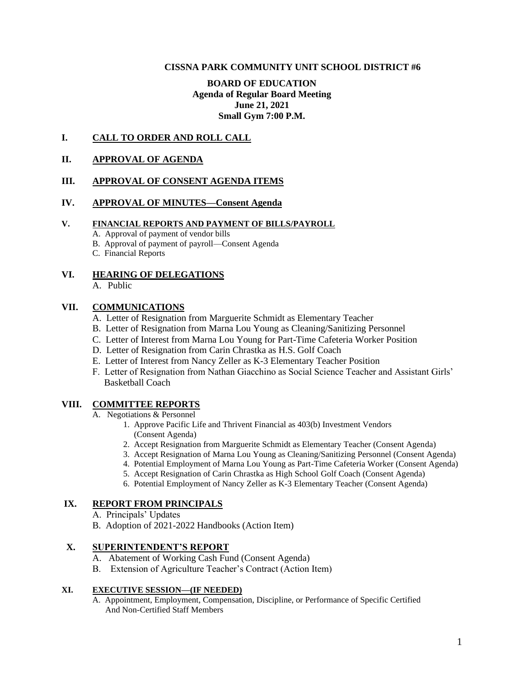#### **CISSNA PARK COMMUNITY UNIT SCHOOL DISTRICT #6**

# **BOARD OF EDUCATION Agenda of Regular Board Meeting June 21, 2021 Small Gym 7:00 P.M.**

#### **I. CALL TO ORDER AND ROLL CALL**

#### **II. APPROVAL OF AGENDA**

#### **III. APPROVAL OF CONSENT AGENDA ITEMS**

## **IV. APPROVAL OF MINUTES—Consent Agenda**

#### **V. FINANCIAL REPORTS AND PAYMENT OF BILLS/PAYROLL**

- A. Approval of payment of vendor bills
- B. Approval of payment of payroll—Consent Agenda
- C. Financial Reports

### **VI. HEARING OF DELEGATIONS**

A. Public

# **VII. COMMUNICATIONS**

- A. Letter of Resignation from Marguerite Schmidt as Elementary Teacher
- B. Letter of Resignation from Marna Lou Young as Cleaning/Sanitizing Personnel
- C. Letter of Interest from Marna Lou Young for Part-Time Cafeteria Worker Position
- D. Letter of Resignation from Carin Chrastka as H.S. Golf Coach
- E. Letter of Interest from Nancy Zeller as K-3 Elementary Teacher Position
- F. Letter of Resignation from Nathan Giacchino as Social Science Teacher and Assistant Girls' Basketball Coach

#### **VIII. COMMITTEE REPORTS**

- A. Negotiations & Personnel
	- 1. Approve Pacific Life and Thrivent Financial as 403(b) Investment Vendors (Consent Agenda)
	- 2. Accept Resignation from Marguerite Schmidt as Elementary Teacher (Consent Agenda)
	- 3. Accept Resignation of Marna Lou Young as Cleaning/Sanitizing Personnel (Consent Agenda)
	- 4. Potential Employment of Marna Lou Young as Part-Time Cafeteria Worker (Consent Agenda)
	- 5. Accept Resignation of Carin Chrastka as High School Golf Coach (Consent Agenda)
	- 6. Potential Employment of Nancy Zeller as K-3 Elementary Teacher (Consent Agenda)

# **IX. REPORT FROM PRINCIPALS**

- A. Principals' Updates
- B. Adoption of 2021-2022 Handbooks (Action Item)

# **X. SUPERINTENDENT'S REPORT**

- A. Abatement of Working Cash Fund (Consent Agenda)
- B. Extension of Agriculture Teacher's Contract (Action Item)

### **XI. EXECUTIVE SESSION—(IF NEEDED)**

A. Appointment, Employment, Compensation, Discipline, or Performance of Specific Certified And Non-Certified Staff Members